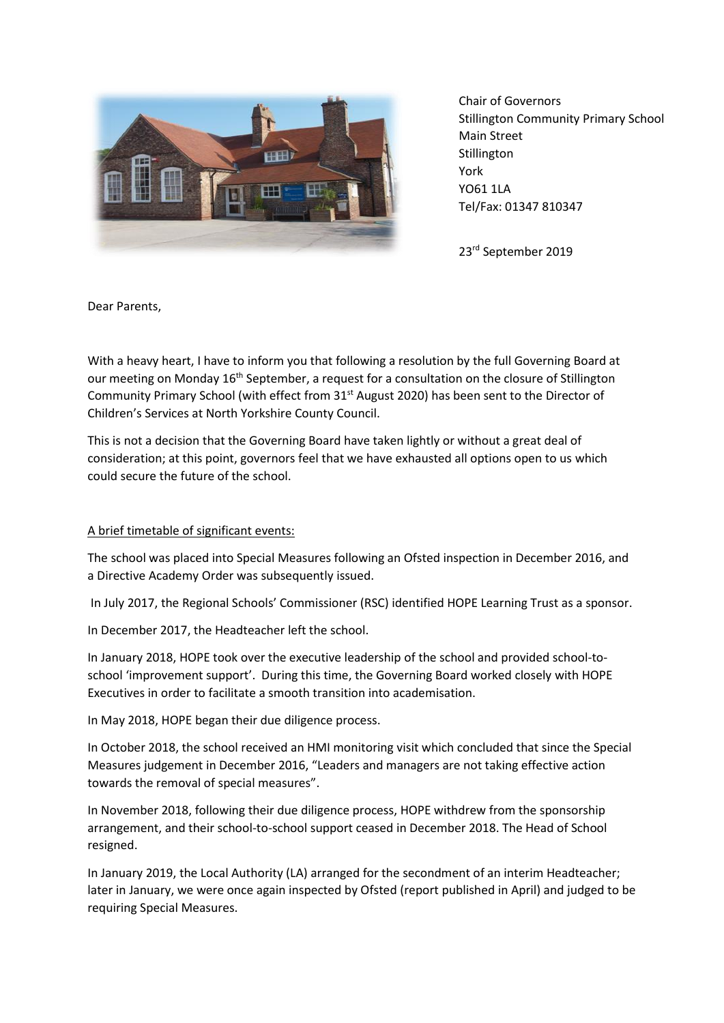

Chair of Governors Stillington Community Primary School Main Street **Stillington** York YO61 1LA Tel/Fax: 01347 810347

23rd September 2019

Dear Parents,

With a heavy heart, I have to inform you that following a resolution by the full Governing Board at our meeting on Monday 16<sup>th</sup> September, a request for a consultation on the closure of Stillington Community Primary School (with effect from 31<sup>st</sup> August 2020) has been sent to the Director of Children's Services at North Yorkshire County Council.

This is not a decision that the Governing Board have taken lightly or without a great deal of consideration; at this point, governors feel that we have exhausted all options open to us which could secure the future of the school.

## A brief timetable of significant events:

The school was placed into Special Measures following an Ofsted inspection in December 2016, and a Directive Academy Order was subsequently issued.

In July 2017, the Regional Schools' Commissioner (RSC) identified HOPE Learning Trust as a sponsor.

In December 2017, the Headteacher left the school.

In January 2018, HOPE took over the executive leadership of the school and provided school-toschool 'improvement support'. During this time, the Governing Board worked closely with HOPE Executives in order to facilitate a smooth transition into academisation.

In May 2018, HOPE began their due diligence process.

In October 2018, the school received an HMI monitoring visit which concluded that since the Special Measures judgement in December 2016, "Leaders and managers are not taking effective action towards the removal of special measures".

In November 2018, following their due diligence process, HOPE withdrew from the sponsorship arrangement, and their school-to-school support ceased in December 2018. The Head of School resigned.

In January 2019, the Local Authority (LA) arranged for the secondment of an interim Headteacher; later in January, we were once again inspected by Ofsted (report published in April) and judged to be requiring Special Measures.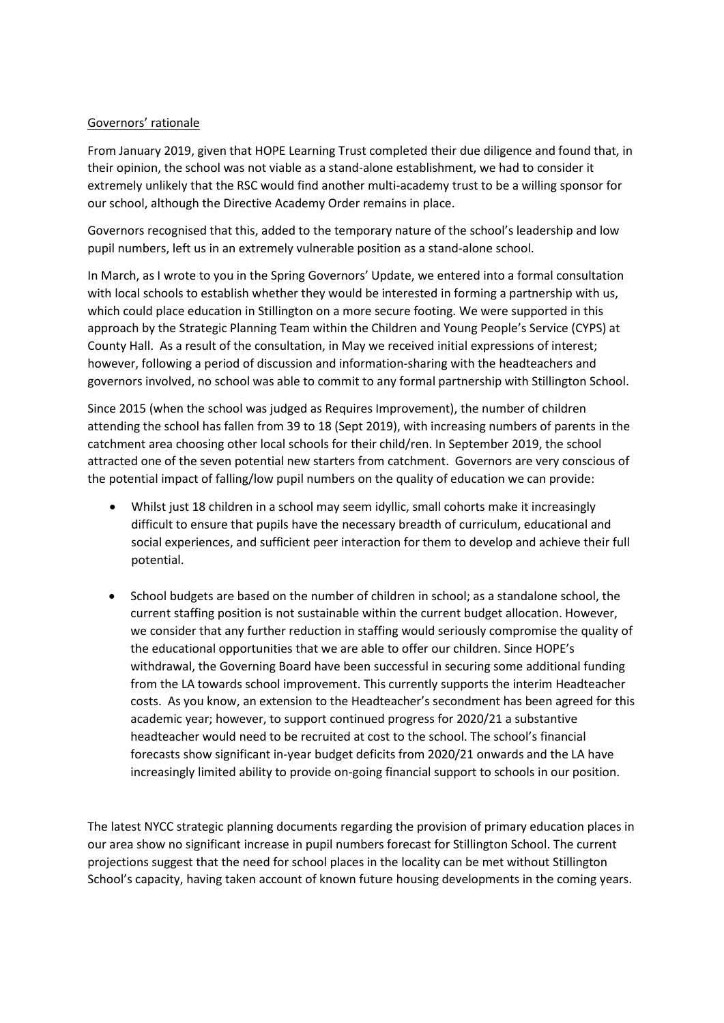## Governors' rationale

From January 2019, given that HOPE Learning Trust completed their due diligence and found that, in their opinion, the school was not viable as a stand-alone establishment, we had to consider it extremely unlikely that the RSC would find another multi-academy trust to be a willing sponsor for our school, although the Directive Academy Order remains in place.

Governors recognised that this, added to the temporary nature of the school's leadership and low pupil numbers, left us in an extremely vulnerable position as a stand-alone school.

In March, as I wrote to you in the Spring Governors' Update, we entered into a formal consultation with local schools to establish whether they would be interested in forming a partnership with us, which could place education in Stillington on a more secure footing. We were supported in this approach by the Strategic Planning Team within the Children and Young People's Service (CYPS) at County Hall. As a result of the consultation, in May we received initial expressions of interest; however, following a period of discussion and information-sharing with the headteachers and governors involved, no school was able to commit to any formal partnership with Stillington School.

Since 2015 (when the school was judged as Requires Improvement), the number of children attending the school has fallen from 39 to 18 (Sept 2019), with increasing numbers of parents in the catchment area choosing other local schools for their child/ren. In September 2019, the school attracted one of the seven potential new starters from catchment. Governors are very conscious of the potential impact of falling/low pupil numbers on the quality of education we can provide:

- Whilst just 18 children in a school may seem idyllic, small cohorts make it increasingly difficult to ensure that pupils have the necessary breadth of curriculum, educational and social experiences, and sufficient peer interaction for them to develop and achieve their full potential.
- School budgets are based on the number of children in school; as a standalone school, the current staffing position is not sustainable within the current budget allocation. However, we consider that any further reduction in staffing would seriously compromise the quality of the educational opportunities that we are able to offer our children. Since HOPE's withdrawal, the Governing Board have been successful in securing some additional funding from the LA towards school improvement. This currently supports the interim Headteacher costs. As you know, an extension to the Headteacher's secondment has been agreed for this academic year; however, to support continued progress for 2020/21 a substantive headteacher would need to be recruited at cost to the school. The school's financial forecasts show significant in-year budget deficits from 2020/21 onwards and the LA have increasingly limited ability to provide on-going financial support to schools in our position.

The latest NYCC strategic planning documents regarding the provision of primary education places in our area show no significant increase in pupil numbers forecast for Stillington School. The current projections suggest that the need for school places in the locality can be met without Stillington School's capacity, having taken account of known future housing developments in the coming years.